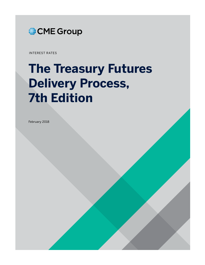

INTEREST RATES

# **The Treasury Futures Delivery Process, 7th Edition**

February 2018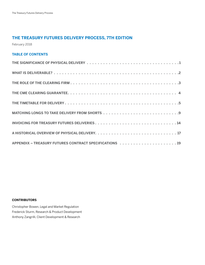# **THE TREASURY FUTURES DELIVERY PROCESS, 7TH EDITION**

February 2018

# **TABLE OF CONTENTS**

# **CONTRIBUTORS**

Christopher Bowen, Legal and Market Regulation Frederick Sturm, Research & Product Development Anthony Zangrilli, Client Development & Research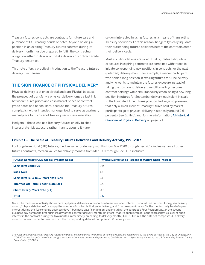<span id="page-2-0"></span>Treasury futures contracts are contracts for future sale and purchase of US Treasury bonds or notes. Anyone holding a position in an expiring Treasury futures contract during its delivery month must be prepared to fulfill the contractual obligation either to deliver or to take delivery of contract grade Treasury securities.

This note offers a practical introduction to the Treasury futures delivery mechanism.<sup>1</sup>

# **THE SIGNIFICANCE OF PHYSICAL DELIVERY**

Physical delivery is at once pivotal and rare. Pivotal, because the prospect of transfer via physical delivery forges a fast link between futures prices and cash market prices of contract grade notes and bonds. Rare, because the Treasury futures complex is neither intended nor organized to serve as a primary marketplace for transfer of Treasury securities ownership.

Hedgers – those who use Treasury futures chiefly to shed interest rate risk exposure rather than to acquire it – are

seldom interested in using futures as a means of transacting Treasury securities. For this reason, hedgers typically liquidate their outstanding futures positions before the contracts enter their delivery cycle.

Most such liquidations are rolled. That is, trades to liquidate exposures in expiring contracts are combined with trades to initiate corresponding new positions in contracts for the next (deferred) delivery month. For example, a market participant who holds a long position in expiring futures for June delivery, and who wants to maintain the futures exposure instead of taking the position to delivery, can roll by selling her June contract holdings while simultaneously establishing a new long position in futures for September delivery, equivalent in scale to the liquidated June futures position. Rolling is so prevalent that only a small share of Treasury futures held by market participants go to physical delivery, historically around 2.6 percent. (See Exhibit 1 and, for more information, A Historical Overview of Physical Delivery on page 17.)

# **Exhibit 1 – The Scale of Treasury Futures Deliveries and Delivery Activity, 1991-2017**

For Long-Term Bond (UB) futures, median value for delivery months from Mar 2010 through Dec 2017, inclusive. For all other futures contracts, median values for delivery months from Mar 1991 through Dec 2017, inclusive.

| <b>Futures Contract (CME Globex Product Code)</b>                  | <b>Physical Deliveries as Percent of Mature Open Interest</b> |
|--------------------------------------------------------------------|---------------------------------------------------------------|
| Long-Term Bond (UB)                                                | 0.9                                                           |
| <b>Bond (ZB)</b>                                                   | 1.6                                                           |
| Long-Term $(6 \frac{1}{2} \text{ to } 10\text{-Year})$ Note $(ZN)$ | 2.1                                                           |
| Intermediate-Term (5-Year) Note (ZF)                               | 2.4                                                           |
| Short-Term (2-Year) Note (ZT)                                      | 3.5                                                           |
| <b>Total</b>                                                       | 2.6                                                           |

Note: The measure of activity shown here is physical deliveries in proportion to mature open interest. For a futures contract for a given delivery month, "physical deliveries" is simply the number of contracts that go to delivery, and "mature open interest" is the median daily level of open interest during the 42 exchange business days ("business days") ending on, and including, the contract's First Position Day, ie, the second business day before the first business day of the contract delivery month. (In effect "mature open interest" is the representative level of open interest in the contract during the two months immediately preceding its delivery month.) For UB futures, the data set comprises 32 delivery months. For each other futures product, the corresponding data set comprises 108 delivery months.

<sup>1</sup> All rules and procedures for Treasury futures contracts, including those for making or taking delivery, are established by the Board of Trade of the City of Chicago, Inc. ("CBOT" or "exchange"), one of four designated contract markets owned and operated by CME Group Inc., subject to regulation by the US Commodity Futures Trading Commission ("CFTC").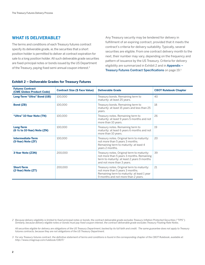# **WHAT IS DELIVERABLE?**

The terms and conditions of each Treasury futures contract specify its deliverable grade, ie, the securities that a short position holder is permitted to deliver at contract expiration for sale to a long position holder. All such deliverable grade securities are fixed-principal notes or bonds issued by the US Department of the Treasury, paying fixed semi-annual coupon interest.2

Any Treasury security may be tendered for delivery in fulfillment of an expiring contract, provided that it meets the contract's criteria for delivery suitability. Typically, several securities are eligible. From one contract delivery month to the next, their number may vary, depending on the frequency and pattern of issuance by the US Treasury. Criteria for delivery eligibility are summarized in Exhibit 2 and in Appendix -Treasury Futures Contract Specifications on page 19.3

| <b>Futures Contract</b><br><b>(CME Globex Product Code)</b> | <b>Contract Size (\$ Face Value)</b> | <b>Deliverable Grade</b>                                                                                                                                                   | <b>CBOT Rulebook Chapter</b> |
|-------------------------------------------------------------|--------------------------------------|----------------------------------------------------------------------------------------------------------------------------------------------------------------------------|------------------------------|
| <b>Long-Term "Ultra" Bond (UB)</b>                          | 100.000                              | Treasury bonds. Remaining term to<br>maturity: at least 25 years.                                                                                                          | 40                           |
| <b>Bond (ZB)</b>                                            | 100,000                              | Treasury bonds. Remaining term to<br>maturity: at least 15 years and less than 25<br>years.                                                                                | 18                           |
| "Ultra" 10-Year Note (TN)                                   | 100,000                              | Treasury notes. Remaining term to<br>maturity: at least 9 years 5 months and not<br>more than 10 years.                                                                    | 26                           |
| <b>Long-Term</b><br>$(6 \frac{1}{2}$ to 10-Year) Note (ZN)  | 100,000                              | Treasury notes. Remaining term to<br>maturity: at least 6 years 6 months and not<br>more than 10 years.                                                                    | 19                           |
| <b>Intermediate-Term</b><br>(5-Year) Note (ZF)              | 100,000                              | 20<br>Treasury notes. Original term to maturity:<br>not more than 5 years 3 months.<br>Remaining term to maturity: at least 4<br>years 2 months.                           |                              |
| 3-Year Note (Z3N)                                           | 200,000                              | 39<br>Treasury notes. Original term to maturity:<br>not more than 5 years 3 months. Remaining<br>term to maturity: at least 2 years 9 months<br>and not more than 3 years. |                              |
| <b>Short-Term</b><br>(2-Year) Note (ZT)                     | 200,000                              | Treasury notes. Original term to maturity:<br>not more than 5 years 3 months.<br>Remaining term to maturity: at least 1 year<br>9 months and not more than 2 years.        | 21                           |

# **Exhibit 2 – Deliverable Grades for Treasury Futures**

2 Because delivery eligibility is limited to fixed-principal notes or bonds, the contract deliverable grade excludes Treasury Inflation Protected Securities ("TIPS"). Similarly, because delivery-eligible notes or bonds must pay fixed coupon interest, the contract deliverable grade excludes Treasury Floating Rate Notes.

 All securities eligible for delivery are obligations of the US Treasury Department, backed by its full faith and credit. The same guarantee does not apply to Treasury futures contracts, because they are not obligations of the US Treasury Department.

3 For any Treasury futures contract, the definitive statement of terms and conditions is found in the corresponding chapter of the CBOT Rulebook, available at: <http://www.cmegroup.com/rulebook/CBOT/>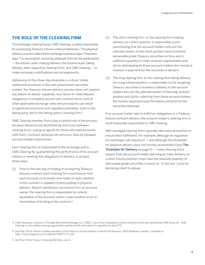# <span id="page-4-0"></span>**THE ROLE OF THE CLEARING FIRM**

The exchange clearing house, CME Clearing, is solely responsible for processing Treasury futures contract deliveries.4 The physical delivery process takes three exchange business days ("business days") to accomplish, ensuring adequate time for the participants — the futures seller making delivery, the futures buyer taking delivery, their respective clearing firms, and CME Clearing — to make necessary notifications and arrangements.

Adherence to this three-day timetable is critical. Unlike settlement practices in the cash government securities market, the Treasury futures delivery process does not support any failure-to-deliver capability. Any failure to meet delivery obligations in complete accord with contract terms and all other applicable exchange rules and procedures can result in significant economic and regulatory penalties, both to the failing party and to the failing party's clearing firm.<sup>5</sup>

CME Clearing member firms play a central role in the process, because deliveries are facilitated by and occur between clearing firms, acting as agents for those who hold accounts with them. Contract deliveries do not occur directly between account holders themselves.

Each clearing firm is responsible to the exchange and to CME Clearing for guaranteeing the performance of its account holders in meeting the obligations of delivery, in at least three ways:

(1) Prior to the last day of trading in an expiring Treasury futures contract, each clearing firm must ensure that each account on its books who holds an open position in the contract is capable of participating in physical delivery. Absent satisfactory assurance from an account owner, the clearing firm is responsible for orderly liquidation of the account owner's open position prior to termination of trading in the contract.6

- (2) The short clearing firm, ie, the clearing firm making delivery on a short position, is responsible (a) for ascertaining that the account holders who are the ultimate owners of the short position have furnished deliverable grade Treasury securities on time and in sufficient quantity to meet contract requirements and (b) for distributing to those account holders the monies it receives in payment for the securities it delivers.
- (3) The long clearing firm, ie, the clearing firm taking delivery on a long futures position, is responsible (a) for assigning Treasury securities it receives in delivery to the account holders who are the ultimate owners of the long contract position and (b) for collecting from those account holders the monies required to pay the invoice amounts for the securities delivered.

If an account holder fails to fulfill her obligations in a Treasury futures contract delivery, the account holder's clearing firm is itself financially responsible to CME Clearing.

Well-managed clearing firms typically take extra precaution to ensure their fulfillment. For example, although no regulation nor exchange rule requires it  $-$  and although the timetable for physical delivery does not strictly necessitate it (see The **Timetable for Delivery** on page  $5$ )  $-$  many clearing firms require that any account holder planning to make delivery on a short futures position must have the requisite quantity of deliverable grade securities in hand (ie, "in the box") prior to declaring intent to deliver.

6 See Rule 716 for Duties of Clearing Members, op cit.

<sup>4</sup> CME Clearing is a division of Chicago Mercantile Exchange Inc. ("CME"), one of four designated contract markets owned and operated by CME Group Inc. CME Clearing is a derivatives clearing organization registered with and subject to regulation by the CFTC.

<sup>5</sup> See Rule 714 for Failure to Deliver and Rule 715 for Failure to Accept Delivery or Remit Full Payment, CBOT Rulebook Chapter 7, available at: <http://www.cmegroup.com/rulebook/CBOT/I/7/7.pdf>.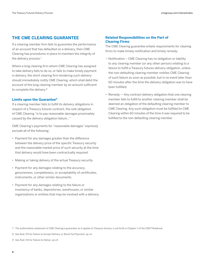# <span id="page-5-0"></span>**THE CME CLEARING GUARANTEE**

If a clearing member firm fails to guarantee the performance of an account that has defaulted on a delivery, then CME Clearing has procedures in place to maintain the integrity of the delivery process.<sup>7</sup>

Where a long clearing firm whom CME Clearing has assigned to take delivery fails to do so, or fails to make timely payment in delivery, the short clearing firm tendering such delivery should immediately notify CME Clearing, which shall debit the account of the long clearing member by an amount sufficient to complete the delivery.<sup>8</sup>

### **Limits upon the Guarantee9**

If a clearing member fails to fulfill its delivery obligations in respect of a Treasury futures contract, the sole obligation of CME Clearing "is to pay reasonable damages proximately caused by the delivery obligation failure…"

CME Clearing's payments for "reasonable damages" expressly exclude all of the following:

- Payment for any damages greater than the difference between the delivery price of the specific Treasury security and the reasonable market price of such security at the time that delivery would have been contractually required.
- Making or taking delivery of the actual Treasury security.
- Payment for any damages relating to the accuracy, genuineness, completeness, or acceptability of certificates, instruments, or other similar documents.
- Payment for any damages relating to the failure or insolvency of banks, depositories, warehouses, or similar organizations or entities that may be involved with a delivery.

# **Related Responsibilities on the Part of Clearing Firms**

The CME Clearing guarantee entails requirements for clearing firms to make timely notification and timely remedy:

- Notification CME Clearing has no obligation or liability to any clearing member (or any other person) relating to a failure to fulfill a Treasury futures delivery obligation, unless the non-defaulting clearing member notifies CME Clearing of such failure as soon as possible, but in no event later than 60 minutes after the time the delivery obligation was to have been fulfilled.
- Remedy Any contract delivery obligation that one clearing member fails to fulfill to another clearing member shall be deemed an obligation of the defaulting clearing member to CME Clearing. Any such obligation must be fulfilled to CME Clearing within 60 minutes of the time it was required to be fulfilled to the non-defaulting clearing member.

<sup>7</sup> The authoritative statement of CME Clearing's guarantee, as it applies to Treasury futures, is set forth in Chapter 7 of the CBOT Rulebook.

<sup>8</sup> See Rule 715 for Failure to Accept Delivery or Remit Full Payment, op cit.

<sup>9</sup> See Rule 714 for Failure to Deliver, op cit.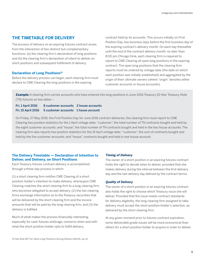# <span id="page-6-0"></span>**THE TIMETABLE FOR DELIVERY**

The process of delivery on an expiring futures contract arises from the interaction of two distinct but complementary functions: (a) the clearing firm's declaration of long positions and (b) the clearing firm's declaration of intent to deliver on short positions and subsequent fulfillment of delivery.

### **Declaration of Long Positions<sup>10</sup>**

Before the delivery process can begin, each clearing firm must declare to CME Clearing the long positions in the expiring

contract held by its accounts. This occurs initially on First Position Day, two business days before the first business day of the expiring contract's delivery month. On each day thereafter until the end of the contract delivery month, no later than 8:00 pm Chicago time, each clearing firm is required to report to CME Clearing all open long positions in the expiring contract. The open long positions that the clearing firm reports must be ordered by vintage date (the date on which each position was initially established) and aggregated by the origin of their ultimate owners (where "origin" denotes either customer accounts or house accounts).

**Example:** A clearing firm carries accounts who have entered into long positions in June 2016 Treasury 10-Year Treasury Note (TN) futures on two dates –

| <b>Fri, 1 April 2016</b> | 8 customer accounts 2 house accounts                   |  |
|--------------------------|--------------------------------------------------------|--|
|                          | Fri, 15 April 2016 5 customer accounts 1 house account |  |

On Friday, 27 May 2016, the First Position Day for June 2016 contract deliveries, the clearing firm must report to CME Clearing two position statistics for the 1 April vintage date: "customer", the total number of TN contracts bought and held by the eight customer accounts; and "house", the total number of TN contracts bought and held in the two house accounts. The clearing firm also reports two position statistics for the 15 April vintage date: "customer", the sum of contracts bought and held by the five customer accounts; and "house", contracts bought and held in one house account.

# **The Delivery Timetable — Declaration of Intention to Deliver, and Delivery, on Short Positions**

Each Treasury futures contract delivery is accomplished through a three-day process in which

(1) a short clearing firm notifies CME Clearing of a short position holder's intention to make delivery, whereupon CME Clearing matches the short clearing firm to a long clearing firm who becomes obligated to accept delivery, (2) the two clearing firms exchange information as to the Treasury securities that will be delivered by the short clearing firm and the invoice amounts that will be paid by the long clearing firm, and (3) the delivery is fulfilled.

Much of what makes the process financially interesting, especially for cash-futures arbitrage, concerns when and with what the short position holder opts to fulfill delivery.

### **Timing of Delivery**

The owner of a short position in an expiring futures contract holds the right to decide when to deliver, provided that she makes delivery during the interval between the first delivery day and the last delivery day defined by the contract terms.

#### **Quality of Delivery**

The owner of a short position in an expiring futures contract also holds the right to choose which Treasury issue she will deliver. Provided that the issue meets contract standards for delivery eligibility, the long clearing firm assigned to take delivery must accept the short position holder's selection, as delivered by the short clearing firm.

At any given moment prior to futures contract expiration, some deliverable grade issues will be more economical than others for a short position holder to acquire in order to deliver.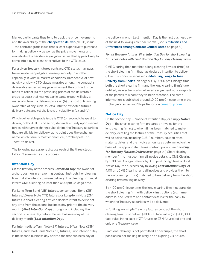Market participants thus tend to track the price movements and the availability of the cheapest to deliver ("CTD") issue – the contract grade issue that is least expensive to purchase for making delivery – as well as the price movements and availability of other delivery-eligible issues that appear likely to come into play as close alternatives to the CTD issue.

For a given Treasury futures contract, CTD status may pass from one delivery-eligible Treasury security to another, especially in volatile market conditions. Irrespective of how quickly or slowly CTD status migrates among the contract's deliverable issues, at any given moment the contract price tends to reflect (a) the prevailing prices of the deliverable grade issue(s) that market participants expect will play a material role in the delivery process, (b) the cost of financing ownership of any such issue(s) until the expected futures delivery date, and (c) the levels of volatility in (a) and (b).

Which deliverable grade issue is CTD (or second cheapest to deliver, or third CTD, and so on) depends entirely upon market forces. Although exchange rules define the Treasury securities that are eligible for delivery, at no point does the exchange name which issue is most economical, or "cheapest," or "best" to deliver.

The following paragraphs discuss each of the three steps. Exhibit 3 summarizes the process.

#### **Intention Day**

On the first day of the process, **Intention Day**, the owner of a short position in an expiring contract instructs her clearing firm that she intends to make delivery. The clearing firm must inform CME Clearing no later than 6:00 pm Chicago time.

For Long-Term Bond (UB) futures, conventional Bond (ZB) futures, 10-Year Note (TN) futures, or Long-Term Note (ZN) futures, a short clearing firm can declare intent to deliver at any time from the second business day prior to the delivery month (**First Intention Day**) through, and including, the second business day before the last business day of the delivery month (**Last Intention Day**).

For Intermediate-Term Note (ZF) futures, 3-Year Note (Z3N) futures, and Short-Term Note (ZT) futures, First Intention Day is the second business day prior to the first business day of

the delivery month. Last Intention Day is the first business day of the next following calendar month. (See Similarities and Differences among Contract Critical Dates on page 8.)

# For all Treasury futures, First Intention Day for short clearing firms coincides with First Position Day for long clearing firms.

CME Clearing then matches a long clearing firm (or firms) to the short clearing firm that has declared intention to deliver. (How this works is discussed in Matching Longs to Take Delivery from Shorts, on page 9.) By 10:00 pm Chicago time, both the short clearing firm and the long clearing firm(s) are notified, via electronically delivered assignment notice reports, of the parties to whom they've been matched. The same information is published around 10:00 pm Chicago time in the Exchange's Issues and Stops Report on **[cmegroup.com](http://cmegroup.com).** 

# **Notice Day**

On the second day — Notice of Intention Day, or simply **Notice Day** — the short clearing firm prepares an invoice for the long clearing firm(s) to whom it has been matched to make delivery, detailing the features of the Treasury securities that will be delivered, including CUSIP numbers, coupon rates, maturity dates, and the invoice amounts as determined on the basis of the appropriate futures contract price. (See **Invoicing for Treasury Futures Deliveries** on page 14.) Short clearing member firms must confirm all invoice details to CME Clearing by 2:00 pm Chicago time (or by 3:00 pm Chicago time on Last Notice Day, the business day following **Last Intention Day**). At 4:00 pm, CME Clearing runs all invoices and provides them to the long clearing firm(s) matched to take delivery from the short clearing firm making delivery.

By 4:00 pm Chicago time, the long clearing firm must provide the short clearing firm with delivery instructions (eg, name, address, and Fed wire and contact details) for the bank to which the Treasury securities will be delivered.

In fulfilling any single Treasury futures contract the short clearing firm must deliver \$100,000 face value (or \$200,000 face value in the case of ZT futures or Z3N futures) of one and only one Treasury issue.

Fractional delivery is not permitted. For example, the short position holder making delivery on an expiring ZB futures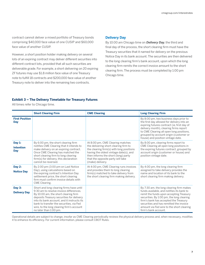contract cannot deliver a mixed portfolio of Treasury bonds comprising \$40,000 face value of one CUSIP and \$60,000 face value of another CUSIP.

However, a short position holder making delivery on several lots of an expiring contract may deliver different securities into different contract lots, provided that all such securities are deliverable grade. For example, a short delivering on 20 expiring ZF futures may use \$1.8 million face value of one Treasury note to fulfill 18 contracts and \$200,000 face value of another Treasury note to deliver into the remaining two contracts.

# **Delivery Day**

By 10:00 am Chicago time on **Delivery Day**, the third and final day of the process, the short clearing firm must have the Treasury securities that it named for delivery on the previous Notice Day in its bank account. The securities are then delivered to the long clearing firm's bank account, upon which the long clearing firm remits the correct invoice amount to the short clearing firm. The process must be completed by 1:00 pm Chicago time.

# **Exhibit 3 – The Delivery Timetable for Treasury Futures**

All times refer to Chicago time.

|                                     | <b>Short Clearing Firm</b>                                                                                                                                                                                                                                                                                                                 | <b>CME Clearing</b>                                                                                                                                                                                                                                             | <b>Long Clearing Firm</b>                                                                                                                                                                                                                                                                                                              |
|-------------------------------------|--------------------------------------------------------------------------------------------------------------------------------------------------------------------------------------------------------------------------------------------------------------------------------------------------------------------------------------------|-----------------------------------------------------------------------------------------------------------------------------------------------------------------------------------------------------------------------------------------------------------------|----------------------------------------------------------------------------------------------------------------------------------------------------------------------------------------------------------------------------------------------------------------------------------------------------------------------------------------|
| <b>First Position</b><br><b>Day</b> |                                                                                                                                                                                                                                                                                                                                            |                                                                                                                                                                                                                                                                 | By 8:00 pm, two business days prior to<br>the first day allowed for delivery into an<br>expiring futures contract (ie, first day of<br>delivery month), clearing firms report<br>to CME Clearing all open long positions,<br>grouped by account origin (customer or<br>house) and position vintage date.                               |
| Day 1:<br><b>Intention</b><br>Day   | By 6:00 pm, the short clearing firm<br>notifies CME Clearing that it intends to<br>make delivery on an expiring contract.<br>Once CME Clearing has matched the<br>short clearing firm to long clearing<br>firm(s) for delivery, this declaration<br>cannot be reversed.                                                                    | At 8:00 pm, CME Clearing matches<br>the delivering short clearing firm to<br>the clearing firm(s) with long positions<br>having the oldest vintage date(s), and<br>then informs the short (long) party<br>that the opposite party will take<br>(make) delivery. | By 8:00 pm, clearing firms report to<br>CME Clearing all open long positions in<br>the expiring futures contract, grouped by<br>account origin (customer or house) and<br>position vintage date.                                                                                                                                       |
| Day 2:<br><b>Notice Day</b>         | By 2:00 pm (3:00 pm on Last Notice<br>Day), using calculations based on<br>the expiring contract's Intention Day<br>settlement price, the short clearing<br>firm must confirm invoice details with<br>CME Clearing.                                                                                                                        | At 4:00 pm, CME Clearing runs invoices<br>and provides them to long clearing<br>firm(s) matched to take delivery from<br>the short clearing firm making delivery.                                                                                               | By 4:00 pm, the long clearing firm<br>assigned to take delivery provides the<br>name and location of its bank to the<br>short clearing firm making delivery.                                                                                                                                                                           |
| Day 3:<br><b>Delivery Day</b>       | Short and long clearing firms have until<br>9:30 am to resolve invoice differences.<br>By 10:00 am, the short clearing firm<br>deposits Treasury securities for delivery<br>into its bank account, and it instructs its<br>bank to transfer the securities, via Fed<br>wire, to the long clearing firm's account<br>no later than 1:00 pm. |                                                                                                                                                                                                                                                                 | By 7:30 am, the long clearing firm makes<br>funds available, and notifies its bank to<br>remit the funds upon accepting Treasury<br>securities. By 1:00 pm, the long clearing<br>firm's bank has accepted the Treasury<br>securities and has remitted the invoice<br>amount via Fed wire to the short clearing<br>firm's bank account. |

Operational details are subject to change, insofar as CME Clearing periodically reviews the physical delivery process and, when necessary, modifies it to enhance its efficiency. For current information, please consult CBOT Rules.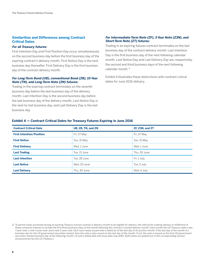# **Similarities and Differences among Contract Critical Dates**

#### **For all Treasury futures:**

First Intention Day and First Position Day occur simultaneously on the second business day before the first business day of the expiring contract's delivery month. First Notice Day is the next business day thereafter. First Delivery Day is the first business day of the contract delivery month.

### **For Long-Term Bond (UB), conventional Bond (ZB), 10-Year Note (TN), and Long-Term Note (ZN) futures:**

Trading in the expiring contract terminates on the seventh business day before the last business day of the delivery month. Last Intention Day is the second business day before the last business day of the delivery month, Last Notice Day is the next-to-last business day, and Last Delivery Day is the last business day.

# **For Intermediate-Term Note (ZF), 3-Year Note (Z3N), and Short-Term Note (ZT) futures:**

Trading in an expiring futures contract terminates on the last business day of the contract delivery month. Last Intention Day is the first business day of the next following calendar month. Last Notice Day and Last Delivery Day are, respectively, the second and third business days of the next following calendar month.<sup>11</sup>

Exhibit 4 illustrates these distinctions with contract critical dates for June 2016 delivery.

| <b>Contract Critical Date</b>   | UB, ZB, TN, and ZN | ZF, Z3N, and ZT |
|---------------------------------|--------------------|-----------------|
| <b>First Intention/Position</b> | Fri, 27 May        | Fri, 27 May     |
| <b>First Notice</b>             | Tue, 31 May        | Tue, 31 May     |
| <b>First Delivery</b>           | Wed. 1 June        | Wed. 1 June     |
| <b>Last Trading</b>             | Tue. 21 June       | Thu. 30 June    |
| <b>Last Intention</b>           | Tue, 28 June       | Fri, 1 July     |
| <b>Last Notice</b>              | Wed. 29 June       | Tue, 5 July     |
| <b>Last Delivery</b>            | Thu. 30 June       | Wed, 6 July     |

# **Exhibit 4 — Contract Critical Dates for Treasury Futures Expiring in June 2016**

<sup>11</sup> To permit notes auctioned during an expiring Treasury futures contract's delivery month to be eligible for delivery, the interval for making delivery in fulfillment of these contracts extends to include the first three business days of the month following the contract's named delivery month. Each month the US Treasury sells a new 7-year note, a new 5-year note, and a new 2-year note. Each such newly issued note is dated as of the last day of its auction month. If the last day of the month is a business day for the US government securities market, then the note is also issued on the last day of the month. If not, the note is issued on the first US government securities market business day of the following month. (A note's dated date and issue date may differ. Both dates are spelled out in the corresponding auction announcement by the US Treasury.)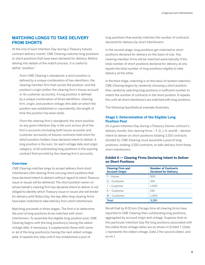# <span id="page-10-0"></span>**MATCHING LONGS TO TAKE DELIVERY FROM SHORTS**

At the end of each Intention Day during a Treasury futures contract delivery month, CME Clearing matches long positions to short positions that have been declared for delivery. Before delving into details of the match process, it is useful to define "position."

 From CME Clearing's standpoint, a short position is defined by a unique combination of two identifiers: the clearing member firm that carries the position, and the position's origin (either the clearing firm's house account or its customer accounts). A long position is defined by a unique combination of three identifiers: clearing firm, origin, and position vintage (the date on which the position was established or, equivalently, the length of time the position has been held).

 From the clearing firm's standpoint, the short position on any given Intention Day is the sum across all of the firm's accounts (including both house accounts and customer accounts) of futures contracts held short for which position holders have declared intent to deliver. A long position is the sum, for each vintage date and origin category, of all outstanding long positions in the expiring contract that are held by the clearing firm's accounts.

# **Overview**

CME Clearing matches longs to accept delivery from short intentioners (the clearing firms carrying short positions that have declared intent to deliver) without regard to which Treasury issue or issues will be delivered. The short position owner on whose behalf a clearing firm has declared intent to deliver is not obliged to identify which Treasury issue or issues she will tender for delivery until Notice Day, the day after long clearing firms have been matched to take delivery from short intentioners.

Matching proceeds in three stages. The first is to determine the pool of long positions to be matched with short intentioners. To assemble the eligible long position pool, CME Clearing begins with the long position(s) having the oldest vintage date. If necessary, it supplements these with some or all of the long position(s) having the next oldest vintage date. It repeats this step until it has established a pool of

long positions that exactly matches the number of contracts declared for delivery by short intentioners.

In the second stage, long positions get matched to short positions declared for delivery on the basis of size. Two clearing member firms will be matched automatically if the total number of short positions declared for delivery at one equals the total number of long positions eligible to take delivery at the other.

In the third stage, matching is on the basis of random selection. CME Clearing begins by randomly choosing a short position, then randomly selecting long positions in sufficient number to match the number of contracts in the short position. It repeats this until all short intentioners are matched with long positions.

The following hypothetical example illustrates.

# **Stage 1: Determination of the Eligible Long Position Pool**

On a given Intention Day during a Treasury futures contract's delivery month, five clearing firms  $-$  F, G, J, K, and M  $-$  declare intent to deliver on short positions totaling 3,150 contracts (Exhibit 6). CME Clearing must assemble a pool of long positions, totaling 3,150 contracts, to take delivery from these short intentioners.

| <b>Clearing Firm and</b><br><b>Account Origin</b> | <b>Number of Contracts</b><br><b>Declared for Delivery</b> |
|---------------------------------------------------|------------------------------------------------------------|
| $F - House$                                       | 900                                                        |
| G – Customer                                      | 100                                                        |
| J – Customer                                      | 1.000                                                      |
| $K$ – Customer                                    | 150                                                        |
| $M$ – Customer                                    | 1.000                                                      |
| Total                                             | 3.150                                                      |

# **Exhibit 6 — Clearing Firms Declaring Intent to Deliver on Short Positions**

Recall that by 8:00 pm Chicago time all clearing firms have reported to CME Clearing their outstanding long positions, aggregated by account origin and vintage. Suppose that on this particular Intention Day the long positions associated with the oldest three vintage dates are as shown in Exhibit 7. (Date 1 represents the oldest vintage, Date 2 the second oldest, and so on.)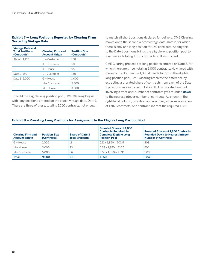# **Exhibit 7 — Long Positions Reported by Clearing Firms, Sorted by Vintage Date**

| <b>Vintage Date and</b><br><b>Total Positions</b><br>(Contracts) | <b>Clearing Firm and</b><br><b>Account Origin</b> | <b>Position Size</b><br>(Contracts) |
|------------------------------------------------------------------|---------------------------------------------------|-------------------------------------|
| Date 1 1.150                                                     | $H$ – Customer                                    | 150                                 |
|                                                                  | $J -$ Customer                                    | 50                                  |
|                                                                  | $J - House$                                       | 950                                 |
| Date 2 150                                                       | $L$ – Customer                                    | 150                                 |
| Date 3 9.000                                                     | $G - H$ ouse                                      | 1.000                               |
|                                                                  | $M -$ Customer                                    | 5.000                               |
|                                                                  | $M - House$                                       | 3.000                               |

To build the eligible long position pool, CME Clearing begins with long positions entered on the oldest vintage date, Date 1. There are three of these, totaling 1,150 contracts, not enough

to match all short positions declared for delivery. CME Clearing moves on to the second oldest vintage date, Date 2, for which there is only one long position for 150 contracts. Adding this to the Date 1 positions brings the eligible long position pool to four pieces, totaling 1,300 contracts, still insufficient.

CME Clearing proceeds to long positions entered on Date 3, for which there are three, totaling 9,000 contracts. Now faced with more contracts than the 1,850 it needs to top up the eligible long position pool, CME Clearing resolves the difference by extracting a prorated share of contracts from each of the Date 3 positions, as illustrated in Exhibit 8. Any prorated amount involving a fractional number of contracts gets rounded down to the nearest integer number of contracts. As shown in the right-hand column, proration and rounding achieves allocation of 1,849 contracts, one contract short of the required 1,850.

# **Exhibit 8 – Prorating Long Positions for Assignment to the Eligible Long Position Pool**

| <b>Clearing Firm and</b><br><b>Account Origin</b> | <b>Position Size</b><br>(Contracts) | <b>Share of Date 3</b><br><b>Total (Percent)</b> | <b>Prorated Shares of 1.850</b><br><b>Contracts Required to</b><br><b>Complete Eligible Long</b><br><b>Position Pool</b> | <b>Prorated Shares of 1,850 Contracts</b><br><b>Rounded Down to Nearest Integer</b><br><b>Number of Contracts</b> |
|---------------------------------------------------|-------------------------------------|--------------------------------------------------|--------------------------------------------------------------------------------------------------------------------------|-------------------------------------------------------------------------------------------------------------------|
| $G - House$                                       | 1.000                               | 11                                               | $0.11 \times 1.850 = 203.5$                                                                                              | 203                                                                                                               |
| $M - House$                                       | 3.000                               | 33                                               | $0.33 \times 1.850 = 610.5$                                                                                              | 610                                                                                                               |
| M – Customer                                      | 5.000                               | 56                                               | $0.56 \times 1.850 = 1.036$                                                                                              | 1.036                                                                                                             |
| <b>Total</b>                                      | 9.000                               | 100                                              | 1.850                                                                                                                    | 1.849                                                                                                             |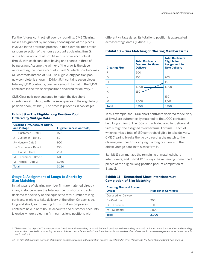For the futures contract left over by rounding, CME Clearing makes assignment by randomly choosing one of the pieces involved in the proration process. In this example, this entails random selection of the house account at clearing firm G, or the house account at firm M, or customer accounts at firm M, with each candidate having one chance in three of being drawn. Assume the winner of the draw is the piece representing the house account at firm M, which now becomes 611 contracts instead of 610. The eligible long position pool, now complete, is shown in Exhibit 9. It contains seven pieces totaling 3,150 contracts, precisely enough to match the 3,150 contracts in the five short positions declared for delivery.13

CME Clearing is now equipped to match the five short intentioners (Exhibit 6) with the seven pieces in the eligible long position pool (Exhibit 9). The process proceeds in two stages.

# **Exhibit 9 — The Eligible Long Position Pool, Ordered by Vintage Date**

| <b>Clearing Firm, Account Origin,</b><br>and Vintage | <b>Eligible Piece (Contracts)</b> |
|------------------------------------------------------|-----------------------------------|
| H – Customer – Date 1                                | 150                               |
| J – Customer – Date 1                                | 50                                |
| $I - House - Date 1$                                 | 950                               |
| 1 – Customer – Date 2                                | 150                               |
| $G - House - Date 3$                                 | 203                               |
| $M -$ Customer – Date 3                              | 611                               |
| $M - House - Date 3$                                 | 1.036                             |
| Total                                                | 3.150                             |

# **Stage 2: Assignment of Longs to Shorts by Size Matching**

Initially, pairs of clearing member firm are matched directly in any instance where the total number of short contracts declared for delivery at one equals the total number of long contracts eligible to take delivery at the other. On each side, long and short, each clearing firm's total encompasses contracts held in both house accounts and customer accounts. Likewise, where a clearing firm carries long positions with

different vintage dates, its total long position is aggregated across vintage dates (Exhibit 10).

| <b>Clearing Firm</b> | <b>Total Contracts</b><br><b>Declared to Make</b><br><b>Delivery</b> | <b>Total Contracts</b><br><b>Eligible for</b><br><b>Assignment to</b><br><b>Take Delivery</b> |
|----------------------|----------------------------------------------------------------------|-----------------------------------------------------------------------------------------------|
| F                    | 900                                                                  |                                                                                               |
| G                    | 100                                                                  | 203                                                                                           |
| Н                    |                                                                      | 150                                                                                           |
|                      | 1,000.                                                               | 1,000                                                                                         |
| K                    | 150                                                                  |                                                                                               |
|                      |                                                                      | 150                                                                                           |
| M                    | 1,000                                                                | 1,647                                                                                         |
| <b>Total</b>         | 3,150                                                                | 3,150                                                                                         |

# **Exhibit 10 – Size Matching of Clearing Member Firms**

In this example, the 1,000 short contracts declared for delivery at firm J are automatically matched to the 1,000 contracts held long at firm J. The 150 contracts declared for delivery at firm K might be assigned to either firm H or firm L, each of which carries a total of 150 contracts eligible to take delivery. CME Clearing breaks the tie by directing the match to the clearing member firm carrying the long position with the oldest vintage date, in this case firm H.

Exhibit 11 summarizes the remaining unmatched short intentioners, and Exhibit 12 displays the remaining unmatched pieces of the eligible long position pool, at completion of Stage 2.

# **Exhibit 11 – Unmatched Short Intentioners at Completion of Size Matching**

| <b>Number of Contracts</b> |
|----------------------------|
|                            |
| 900                        |
| 100                        |
| 1.000                      |
| 2.000                      |
|                            |

<sup>12</sup> To be clear, the object of the random draw is not the entire rounding remnant, but each contract in the rounding remnant. If, for instance, the proration and rounding process had resulted in a rounding remnant of three contracts instead of one, then the random draw described above would have been repeated three times, once for each contract.

13 The fate of the unused portions of the three positions involved in the proration process is explained in What Happens to the Long Position Stack? on page 13.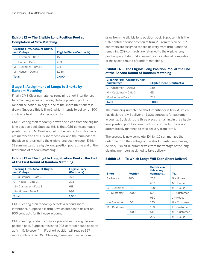# **Exhibit 12 — The Eligible Long Position Pool at Completion of Size Matching**

| <b>Clearing Firm, Account Origin,</b><br>and Vintage | <b>Eligible Piece (Contracts)</b> |
|------------------------------------------------------|-----------------------------------|
| 1 – Customer – Date 2                                | 150                               |
| $G - House - Date 3$                                 | 203                               |
| $M -$ Customer – Date 3                              | 611                               |
| M – House -- Date 3                                  | 1.036                             |
| Total                                                | 2.000                             |

# **Stage 3: Assignment of Longs to Shorts by Random Matching**

Finally CME Clearing matches remaining short intentioners to remaining pieces of the eligible long position pool by random selection. To begin, one of the short intentioners is drawn. Suppose this is firm G, which intends to deliver on 100 contracts held in customer accounts.

CME Clearing then randomly draws one piece from the eligible long position pool. Suppose this is the 1,036-contract house position at firm M. One hundred of the contracts in this piece are matched to firm G's short position, and the remainder of the piece is returned to the eligible long position pool. Exhibit 13 summarizes the eligible long position pool at the end of the first round of random matching.

# **Exhibit 13 — The Eligible Long Position Pool at the End of the First Round of Random Matching**

| <b>Clearing Firm, Account Origin,</b><br>and Vintage | <b>Eligible Piece</b><br>(Contracts) |
|------------------------------------------------------|--------------------------------------|
| 1 -- Customer -- Date 2                              | 150                                  |
| G -- House -- Date 3                                 | 203                                  |
| M – Customer -- Date 3                               | 611                                  |
| M -- House -- Date 3                                 | 936                                  |
| Total                                                | 1.900                                |

CME Clearing then randomly selects a second short intentioner. Suppose it is firm F, which intends to deliver on 900 contracts for its house account.

CME Clearing randomly draws a piece from the eligible long position pool. Suppose this is the 203-contract house position at firm G. To cover firm F's short position will require 697 more contracts, so CME Clearing makes another random

draw from the eligible long position pool. Suppose this is the 936-contract house position at firm M. From this piece 697 contracts are assigned to take delivery from firm F, and the remaining 239 contracts are returned to the eligible long position pool. Exhibit 14 summarizes its status at completion of the second round of random matching.

# **Exhibit 14 — The Eligible Long Position Pool at the End of the Second Round of Random Matching**

| <b>Clearing Firm, Account Origin.</b><br>and Vintage | <b>Eligible Piece (Contracts)</b> |
|------------------------------------------------------|-----------------------------------|
| 1 -- Customer -- Date 2                              | 150                               |
| M – Customer -- Date 3                               | 611                               |
| M -- House -- Date 3                                 | 239                               |
| Total                                                | 1.000                             |

The remaining unmatched short intentioner is firm M, which has declared it will deliver on 1,000 contracts for customer accounts. By design, the three pieces remaining in the eligible long position pool total exactly 1,000 contracts. These are automatically matched to take delivery from firm M.

The process is now complete. Exhibit 15 summarizes the outcome from the vantage of the short intentioners making delivery. Exhibit 16 summarizes from the vantage of the long clearing members assigned to take delivery.

# **Exhibit 15 — To Which Longs Will Each Short Deliver?**

| <b>Short</b>   | <b>Position</b> | <b>Delivers on</b><br>this many<br>contracts | To             |
|----------------|-----------------|----------------------------------------------|----------------|
| $F - H$ ouse   | 900             | 203                                          | $G - H$ ouse   |
|                |                 | 697                                          | $M - House$    |
| G – Customer   | 100             | 100                                          | $M - House$    |
| J - Customer   | 1.000           | 50                                           | J - Customer   |
|                |                 | 950                                          | $J - House$    |
| K - Customer   | 150             | 150                                          | $H$ – Customer |
| $M -$ Customer |                 | 150                                          | $L$ – Customer |
|                | 1.000           | 611                                          | M - Customer   |
|                |                 | 239                                          | $M - House$    |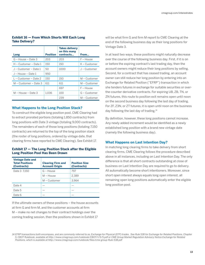# **Exhibit 16 — From Which Shorts Will Each Long Take Delivery?**

|                         |                 | <b>Takes delivery</b><br>on this many |                |
|-------------------------|-----------------|---------------------------------------|----------------|
| Long                    | <b>Position</b> | contracts                             | From           |
| G – House – Date 3      | 203             | 203                                   | $F - House$    |
| H – Customer – Date 1   | 150             | 150                                   | K – Customer   |
| J – Customer – Date 1   | 50              | 1000                                  | J – Customer   |
| J – House – Date 1      | 950             |                                       |                |
| L – Customer – Date 2   | 150             | 150                                   | $M -$ Customer |
| $M -$ Customer – Date 3 | 611             | 611                                   | M - Customer   |
|                         |                 | 697                                   | F – House      |
| $M - House - Date 3$    | 1.036           | 100                                   | $G -$ Customer |
|                         |                 | 239                                   | M – Customer   |

# **What Happens to the Long Position Stack?**

To construct the eligible long position pool, CME Clearing had to extract prorated portions (totaling 1,850 contracts) from long positions with Date 3 vintage (totaling 9,000 contracts). The remainders of each of those long positions (totaling 7,150 contracts) are returned to the top of the long position stack (the roster of long positions, ordered by vintage date, that clearing firms have reported to CME Clearing). See Exhibit 17.

# **Exhibit 17 — The Long Position Stack after the Eligible Long Position Pool Has Been Drawn**

| <b>Vintage Date and</b><br><b>Total Positions</b><br>(Contracts) | <b>Clearing Firm and</b><br><b>Account Origin</b> | <b>Position Size</b><br>(Contracts) |
|------------------------------------------------------------------|---------------------------------------------------|-------------------------------------|
| Date 3 7,150                                                     | $G - House$                                       | 797                                 |
|                                                                  | $M - House$                                       | 2,389                               |
|                                                                  | $M$ – Customer                                    | 3.964                               |
| Date 4                                                           |                                                   |                                     |
| Date 5                                                           |                                                   |                                     |
| Date 6                                                           |                                                   |                                     |

If the ultimate owners of these positions – the house accounts at firm G and firm M, and the customer accounts at firm M – make no net changes to their contract holdings over the coming trading session, then the positions shown in Exhibit 17

will be what firm G and firm M report to CME Clearing at the end of the following business day as their long positions for Vintage Date 3.

In at least two ways, these positions might naturally decrease over the course of the following business day. First, if it is on or before the expiring contract's last trading day, then the account owners might reduce their long positions by selling. Second, for a contract that has ceased trading, an account owner can still reduce her long position by entering into an Exchange for Related Position ("EFRP") transaction in which she tenders futures in exchange for suitable securities or overthe-counter derivative contracts. For expiring UB, ZB, TN, or ZN futures, this route to position exit remains open until noon on the second business day following the last day of trading. For ZF, Z3N, or ZT futures, it is open until noon on the business day following the last day of trading.14

By definition, however, these long positions cannot increase. Any newly added increment would be identified as a newly established long position with a brand new vintage date (namely the following business day).

# **What Happens on Last Intention Day?**

In matching long clearing firms to take delivery from short clearing firms, CME Clearing follows the procedure described above in all instances, including on Last Intention Day. The only difference is that all short contracts outstanding at close of business on Last Intention Day are required to go to delivery. All automatically become short intentioners. Moreover, since short open interest always equals long open interest, all remaining open long positions automatically enter the eligible long position pool.

<sup>14</sup> EFRP transactions both encompass, and are commonly referred to as, Exchange for Physical (EFP) trades. See Rule 538 for Exchange for Related Positions, Chapter 5, CBOT Rulebook, available at <http://www.cmegroup.com/rulebook/CBOT/I/5/5.pdf> or CME Group Market Regulation Advisory Notice Exchange for Related Positions, which is available at http://www.cmegroup.com/rulebook/files/cme-group-Rule-538.pdf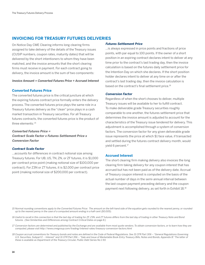# <span id="page-15-0"></span>**INVOICING FOR TREASURY FUTURES DELIVERIES**

On Notice Day CME Clearing informs long clearing firms assigned to take delivery of the details of the Treasury issues (CUSIP numbers, coupon rates, maturity dates) that will be delivered by the short intentioners to whom they have been matched, and the invoice amounts that the short clearing firms must receive in payment. For each contract going to delivery, the invoice amount is the sum of two components:

### **Invoice Amount = Converted Futures Price + Accrued Interest**

# **Converted Futures Price**

The converted futures price is the critical juncture at which the expiring futures contract price formally enters the delivery process. The converted futures price plays the same role in a Treasury futures delivery as the "clean" price plays in a cash market transaction in Treasury securities. For all Treasury futures contracts, the converted futures price is the product of three elements: 15

### **Converted Futures Price =**

**Contract Scale Factor x Futures Settlement Price x Conversion Factor**

# **Contract Scale Factor**

…accounts for differences in contract notional size among Treasury futures. For UB, US, TN, ZN, or ZF futures, it is \$1,000 per contract price point (making notional size of \$100,000 per contract). For Z3N or ZT futures, it is \$2,000 per contract price point (making notional size of \$200,000 per contract).

#### **Futures Settlement Price**

…is always expressed in price points and fractions of price points, with par equal to 100 points. If the owner of a short position in an expiring contract declares intent to deliver at any time prior to the contract's last trading day, then the invoice calculation is based on the futures daily settlement price for the Intention Day on which she declares. If the short position holder declares intent to deliver at any time on or after the contract's last trading day, then the invoice calculation is based on the contract's final settlement price.<sup>16</sup>

#### **Conversion Factor**

Regardless of when the short chooses to deliver, multiple Treasury issues will be available to her to fulfill contract. To make deliverable grade Treasury securities roughly comparable to one another, the futures settlement price that determines the invoice amount is adjusted to account for the characteristics of the Treasury issue tendered for delivery. This adjustment is accomplished through a system of conversion factors. The conversion factor for any given deliverable grade issue represents the price at which \$1 face value, if transacted and settled during the futures contract delivery month, would yield 6 percent.<sup>17</sup>

### **Accrued Interest**

The short clearing firm making delivery also invoices the long clearing firm taking delivery for any coupon interest that has accrued but has not been paid as of the delivery date. Accrual of Treasury coupon interest is computed on the basis of the actual number of days in the semi-annual interval between the last coupon payment preceding delivery and the coupon payment next following delivery, as set forth in Exhibit 18.18

15 Normal rounding conventions apply to the Converted Futures Price: The amount on the left-hand side of the equation gets rounded to the nearest penny, or rounded up to the nearest penny in the case of a computed amount ending in a half-cent (\$0.005).

16 Useful to recall in this connection is that the last day of trading for ZF, Z3N, and ZT futures differs from the last day of trading in other Treasury Note and Bond futures. (See Similarities and Differences among Contract Critical Dates on page 8.)

17 Conversion factors are determined and published by the Exchange and are available from most quote vendors. To obtain conversion factors, or to learn how they are computed, please visi[t http://www.cmegroup.com/trading/interest-rates/treasury-conversion-factors.html]( http://www.cmegroup.com/trading/interest-rates/treasury-conversion-factors.html ) 

18 Coupon accrual conventions for Treasury bonds and notes are defined in the Code of Federal Regulations. See 31 CFR Part 306 – "General Regulations Governing U.S. Securities, Subpart E -- Interest" and 31 CFR Part 356 – "Sale and Issue of Marketable Book-Entry Treasury Bills, Notes and Bonds, Appendix B." The latter of these is available as Department of the Treasury Circular, Public Debt Series No 1-93.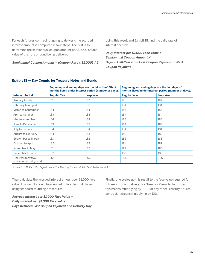For each futures contract lot going to delivery, the accrued interest amount is computed in four steps. The first is to determine the semiannual coupon amount per \$1,000 of face value of the note or bond being delivered:

**Semiannual Coupon Amount = (Coupon Rate x \$1,000) / 2**

Using this result and Exhibit 18, find the daily rate of interest accrual:

**Daily Interest per \$1,000 Face Value = Semiannual Coupon Amount / Days in Half-Year from Last Coupon Payment to Next Coupon Payment**

|                                              | Beginning and ending days are the 1st or the 15th of<br>months listed under interest period (number of days). |                  |                     | Beginning and ending days are the last days of<br>months listed under interest period (number of days). |  |
|----------------------------------------------|---------------------------------------------------------------------------------------------------------------|------------------|---------------------|---------------------------------------------------------------------------------------------------------|--|
| <b>Interest Period</b>                       | <b>Regular Year</b>                                                                                           | <b>Leap Year</b> | <b>Regular Year</b> | <b>Leap Year</b>                                                                                        |  |
| January to July                              | 181                                                                                                           | 182              | 181                 | 182                                                                                                     |  |
| February to August                           | 181                                                                                                           | 182              | 184                 | 184                                                                                                     |  |
| March to September                           | 184                                                                                                           | 184              | 183                 | 183                                                                                                     |  |
| April to October                             | 183                                                                                                           | 183              | 184                 | 184                                                                                                     |  |
| May to November                              | 184                                                                                                           | 184              | 183                 | 183                                                                                                     |  |
| June to December                             | 183                                                                                                           | 183              | 184                 | 184                                                                                                     |  |
| July to January                              | 184                                                                                                           | 184              | 184                 | 184                                                                                                     |  |
| August to February                           | 184                                                                                                           | 184              | 181                 | 182                                                                                                     |  |
| September to March                           | 181                                                                                                           | 182              | 182                 | 183                                                                                                     |  |
| October to April                             | 182                                                                                                           | 183              | 181                 | 182                                                                                                     |  |
| November to May                              | 181                                                                                                           | 182              | 182                 | 183                                                                                                     |  |
| December to June                             | 182                                                                                                           | 183              | 181                 | 182                                                                                                     |  |
| One year (any two<br>consecutive half years) | 365                                                                                                           | 366              | 365                 | 366                                                                                                     |  |

# **Exhibit 18 — Day Counts for Treasury Notes and Bonds**

Source: 31 CFR Part 356, Department of the Treasury Circular, Public Debt Series No 1-93

Then calculate the accrued interest amount per \$1,000 face value. This result should be rounded to five decimal places, using standard rounding procedures:

**Accrued Interest per \$1,000 Face Value = Daily Interest per \$1,000 Face Value x Days between Last Coupon Payment and Delivery Day** Finally, one scales up this result to the face value required for futures contract delivery. For 3-Year or 2-Year Note futures, this means multiplying by 200. For any other Treasury futures contract, it means multiplying by 100.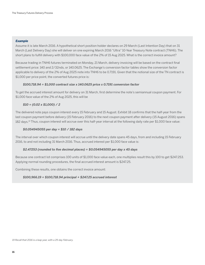# **Example**

Assume it is late March 2016. A hypothetical short position holder declares on 29 March (Last Intention Day) that on 31 March (Last Delivery Day) she will deliver on one expiring March 2016 "Ultra" 10-Year Treasury Note contract (TNH6). The short plans to fulfill delivery with \$100,000 face value of the 2% of 15 Aug 2025. What is the correct invoice amount?

Because trading in TNH6 futures terminated on Monday, 21 March, delivery invoicing will be based on the contract final settlement price: 140 and 2/32nds, or 140.0625. The Exchange's conversion factor tables show the conversion factor applicable to delivery of the 2% of Aug 2025 note into TNH6 to be 0.7191. Given that the notional size of the TN contract is \$1,000 per price point, the converted futures price is:

# **\$100,718.94 = \$1,000 contract size x 140.0625 price x 0.7191 conversion factor**

To get the accrued interest amount for delivery on 31 March, first determine the note's semiannual coupon payment. For \$1,000 face value of the 2% of Aug 2025, this will be

# **\$10 = (0.02 x \$1,000) / 2**

The delivered note pays coupon interest every 15 February and 15 August. Exhibit 18 confirms that the half-year from the last coupon payment before delivery (15 February 2016) to the next coupon payment after delivery (15 August 2016) spans 182 days.19 Thus, coupon interest will accrue over this half-year interval at the following daily rate per \$1,000 face value:

# **\$0.054945055 per day = \$10 / 182 days**

The interval over which coupon interest will accrue until the delivery date spans 45 days, from and including 15 February 2016, to and not including 31 March 2016. Thus, accrued interest per \$1,000 face value is:

# **\$2.47253 (rounded to five decimal places) = \$0.054945055 per day x 45 days**

Because one contract lot comprises 100 units of \$1,000 face value each, one multiplies result this by 100 to get \$247.253. Applying normal rounding procedures, the final accrued interest amount is \$247.25.

Combining these results, one obtains the correct invoice amount:

# **\$100,966.19 = \$100,718.94 principal + \$247.25 accrued interest**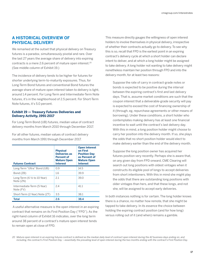# <span id="page-18-0"></span>**A HISTORICAL OVERVIEW OF PHYSICAL DELIVERY**

We remarked at the outset that physical delivery on Treasury futures is a paradox, simultaneously pivotal and rare. Over the last 27 years the average share of delivery into expiring contracts is a mere 2.6 percent of mature open interest.20 (See middle column of Exhibit 19.)

The incidence of delivery tends to be higher for futures for shorter underlying term-to-maturity exposures. Thus, for Long-Term Bond futures and conventional Bond futures the average share of mature open interest taken to delivery is light, around 1.4 percent. For Long-Term and Intermediate-Term Note futures, it's in the neighborhood of 2.5 percent. For Short-Term Note futures, it's 5.0 percent.

# **Exhibit 19 — Treasury Futures Deliveries and Delivery Activity, 1991-2017**

For Long-Term Bond (UB) futures, median value of contract delivery months from March 2010 through December 2017.

For all other futures, median values of contract delivery months from March 1991 through December 2017.

| <b>Futures Contract</b>                              | <b>Physical</b><br><b>Deliveries as</b><br><b>Percent of</b><br><b>Mature Open</b><br><b>Interest</b> | <b>Open Interest</b><br>on First<br><b>Position Day</b><br>as Percent of<br><b>Mature Open</b><br><b>Interest</b> |
|------------------------------------------------------|-------------------------------------------------------------------------------------------------------|-------------------------------------------------------------------------------------------------------------------|
| Long-Term "Ultra" Bond (UB)                          | 09                                                                                                    | 14.5                                                                                                              |
| Bond (ZB)                                            | 1.6                                                                                                   | 39.9                                                                                                              |
| Long-Term $(6 \frac{1}{2})$ to 10-Year)<br>Note (ZN) | 2.1                                                                                                   | 39.0                                                                                                              |
| Intermediate-Term (5-Year)<br>Note (FV)              | 2.4                                                                                                   | 41.1                                                                                                              |
| Short-Term (2-Year) Note (ZT)                        | 3.5                                                                                                   | 38.1                                                                                                              |
| Total                                                | 2.6                                                                                                   | 38.4                                                                                                              |

 A useful alternative measure is the open interest in an expiring contract that remains on its First Position Day ("FPD"). As the right-hand column of Exhibit 16 indicates, over the long term around 38 percent of a contract's mature open interest tends to remain open at close of FPD.

This measure directly gauges the willingness of open interest holders to involve themselves in physical delivery, irrespective of whether their contracts actually go to delivery. To see why this is so, recall that FPD is the earliest point in an expiring contract's delivery cycle at which a short holder can declare intent to deliver, and at which a long holder might be assigned to take delivery. A long holder not wanting to take delivery might nonetheless maintain her position through FPD and into the delivery month, for at least two reasons:

 Suppose the rate of carry in contract-grade notes or bonds is expected to be positive during the interval between the expiring contract's first and last delivery days. That is, assume market conditions are such that the coupon interest that a deliverable-grade security will pay is expected to exceed the cost of financing ownership of it (through, eg, repurchase agreements or other means of borrowing). Under these conditions, a short holder who contemplates making delivery has at least one financial incentive to wait until the contract's last delivery day. With this in mind, a long position holder might choose to carry her position into the delivery month. If so, she plays the odds that no short position holder would elect to make delivery earlier than the end of the delivery month.

 Suppose the long position owner has acquired her futures position very recently. Perhaps she is aware that, on any given day from FPD onward, CME Clearing will search out long positions with oldest vintages when it constructs its eligible pool of longs to accept deliveries from short intentioners. With this in mind she might play the odds that there are outstanding long positions with older vintages than hers, and that these longs, and not she, will be assigned to accept early deliveries.

In both instances nothing is for certain. The long holder knows there is a chance, no matter how remote, that she might be tapped to take delivery. In its essence the choice between holding the expiring contract position (and for how long) versus rolling out of it (and when) remains a gamble.

20 Mature open interest in an expiring futures contract is defined as the median daily level of contract open interest during the 42 business days ending on, and including, the contract's First Position Day – essentially the prevailing level of open interest during the two months ending with the contract's First Position Day.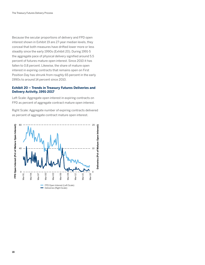Because the secular proportions of delivery and FPD open interest shown in Exhibit 19 are 27-year median levels, they conceal that both measures have drifted lower more or less steadily since the early 1990s (Exhibit 20). During 1991-5 the aggregate pace of physical delivery signified around 5.5 percent of futures mature open interest. Since 2010 it has fallen to 0.8 percent. Likewise, the share of mature open interest in expiring contracts that remains open on First Position Day has shrunk from roughly 65 percent in the early 1990s to around 14 percent since 2010.

# **Exhibit 20 – Trends in Treasury Futures Deliveries and Delivery Activity, 1991-2017**

Left Scale: Aggregate open interest in expiring contracts on FPD as percent of aggregate contract mature open interest.

Right Scale: Aggregate number of expiring contracts delivered as percent of aggregate contract mature open interest.

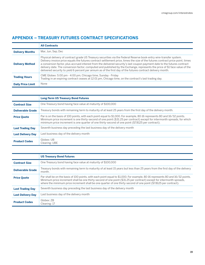# <span id="page-20-0"></span>**APPENDIX – TREASURY FUTURES CONTRACT SPECIFICATIONS**

|                          | <b>All Contracts</b>                                                                                                                                                                                                                                                                                                                                                                                                                                                                                                                                                                                                             |
|--------------------------|----------------------------------------------------------------------------------------------------------------------------------------------------------------------------------------------------------------------------------------------------------------------------------------------------------------------------------------------------------------------------------------------------------------------------------------------------------------------------------------------------------------------------------------------------------------------------------------------------------------------------------|
| <b>Delivery Months</b>   | Mar, Jun, Sep, Dec                                                                                                                                                                                                                                                                                                                                                                                                                                                                                                                                                                                                               |
| <b>Delivery Method</b>   | Physical delivery of contract grade US Treasury securities via the Federal Reserve book-entry wire-transfer system.<br>Delivery invoice price equals the futures contract settlement price, times the size of the futures contract price point, times<br>a conversion factor, plus accrued interest from the delivered security's last coupon payment date to the futures contract<br>delivery date. The conversion factor, computed and published by the Exchange, represents the price of \$1 face value of the<br>delivered security to yield 6 percent per annum as of the first day of the futures contract delivery month. |
| <b>Trading Hours</b>     | CME Globex: 5:00 pm - 4:00 pm, Chicago time, Sunday - Friday<br>Trading in an expiring contract ceases at 12:01 pm, Chicago time, on the contract's last trading day.                                                                                                                                                                                                                                                                                                                                                                                                                                                            |
| <b>Daily Price Limit</b> | None                                                                                                                                                                                                                                                                                                                                                                                                                                                                                                                                                                                                                             |

|                          | <b>Long-Term US Treasury Bond Futures</b>                                                                                                                                                                                                                                                                                                                 |
|--------------------------|-----------------------------------------------------------------------------------------------------------------------------------------------------------------------------------------------------------------------------------------------------------------------------------------------------------------------------------------------------------|
| <b>Contract Size</b>     | One Treasury bond having face value at maturity of \$100,000                                                                                                                                                                                                                                                                                              |
| <b>Deliverable Grade</b> | Treasury bonds with remaining term to maturity of at least 25 years from the first day of the delivery month.                                                                                                                                                                                                                                             |
| <b>Price Quote</b>       | Par is on the basis of 100 points, with each point equal to \$1,000. For example, 80-16 represents 80 and 16/32 points.<br>Minimum price increment is one thirty-second of one point (\$31.25 per contract) except for intermonth spreads, for which<br>minimum price increment is one quarter of one thirty-second of one point (\$7.8125 per contract). |
| <b>Last Trading Day</b>  | Seventh business day preceding the last business day of the delivery month                                                                                                                                                                                                                                                                                |
| <b>Last Delivery Day</b> | Last business day of the delivery month                                                                                                                                                                                                                                                                                                                   |
| <b>Product Codes</b>     | Globex: UB<br>Clearing: UBE                                                                                                                                                                                                                                                                                                                               |

|                          | <b>US Treasury Bond Futures</b>                                                                                                                                                                                                                                                                                                                                             |
|--------------------------|-----------------------------------------------------------------------------------------------------------------------------------------------------------------------------------------------------------------------------------------------------------------------------------------------------------------------------------------------------------------------------|
| <b>Contract Size</b>     | One Treasury bond having face value at maturity of \$100,000                                                                                                                                                                                                                                                                                                                |
| <b>Deliverable Grade</b> | Treasury bonds with remaining term to maturity of at least 15 years but less than 25 years from the first day of the delivery<br>month.                                                                                                                                                                                                                                     |
| <b>Price Quote</b>       | Par shall be on the basis of 100 points, with each point equal to \$1,000. For example, 80-16 represents 80 and 16/32 points.<br>Minimum price increment shall be one thirty-second of one point (\$31.25 per contract) except for intermonth spreads,<br>where the minimum price increment shall be one quarter of one thirty-second of one point (\$7.8125 per contract). |
| <b>Last Trading Day</b>  | Seventh business day preceding the last business day of the delivery month                                                                                                                                                                                                                                                                                                  |
| <b>Last Delivery Day</b> | Last business day of the delivery month                                                                                                                                                                                                                                                                                                                                     |
| <b>Product Codes</b>     | Globex: ZB<br>Clearing: 17                                                                                                                                                                                                                                                                                                                                                  |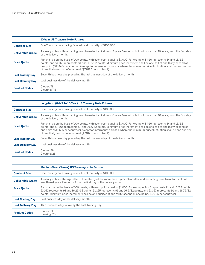|                          | <b>10-Year US Treasury Note Futures</b>                                                                                                                                                                                                                                                                                                                                                                                                    |
|--------------------------|--------------------------------------------------------------------------------------------------------------------------------------------------------------------------------------------------------------------------------------------------------------------------------------------------------------------------------------------------------------------------------------------------------------------------------------------|
| <b>Contract Size</b>     | One Treasury note having face value at maturity of \$100,000                                                                                                                                                                                                                                                                                                                                                                               |
| <b>Deliverable Grade</b> | Treasury notes with remaining term to maturity of at least 9 years 5 months, but not more than 10 years, from the first day<br>of the delivery month.                                                                                                                                                                                                                                                                                      |
| <b>Price Quote</b>       | Par shall be on the basis of 100 points, with each point equal to \$1,000. For example, 84-16 represents 84 and 16/32<br>points, and 84-165 represents 84 and 16.5/32 points. Minimum price increment shall be one half of one thirty-second of<br>one point (\$15.625 per contract) except for intermonth spreads, where the minimum price fluctuation shall be one quarter<br>of one thirty-second of one point (\$7.8125 per contract). |
| <b>Last Trading Day</b>  | Seventh business day preceding the last business day of the delivery month                                                                                                                                                                                                                                                                                                                                                                 |
| <b>Last Delivery Day</b> | Last business day of the delivery month                                                                                                                                                                                                                                                                                                                                                                                                    |
| <b>Product Codes</b>     | Globex: TN<br>Clearing: TN                                                                                                                                                                                                                                                                                                                                                                                                                 |

|                          | Long-Term (6-1/2 to 10-Year) US Treasury Note Futures                                                                                                                                                                                                                                                                                                                                                                                      |
|--------------------------|--------------------------------------------------------------------------------------------------------------------------------------------------------------------------------------------------------------------------------------------------------------------------------------------------------------------------------------------------------------------------------------------------------------------------------------------|
| <b>Contract Size</b>     | One Treasury note having face value at maturity of \$100,000                                                                                                                                                                                                                                                                                                                                                                               |
| <b>Deliverable Grade</b> | Treasury notes with remaining term to maturity of at least 6 years 6 months, but not more than 10 years, from the first day<br>of the delivery month.                                                                                                                                                                                                                                                                                      |
| <b>Price Quote</b>       | Par shall be on the basis of 100 points, with each point equal to \$1,000. For example, 84-16 represents 84 and 16/32<br>points, and 84-165 represents 84 and 16.5/32 points. Minimum price increment shall be one half of one thirty-second of<br>one point (\$15.625 per contract) except for intermonth spreads, where the minimum price fluctuation shall be one quarter<br>of one thirty-second of one point (\$7.8125 per contract). |
| <b>Last Trading Day</b>  | Seventh business day preceding the last business day of the delivery month                                                                                                                                                                                                                                                                                                                                                                 |
| <b>Last Delivery Day</b> | Last business day of the delivery month                                                                                                                                                                                                                                                                                                                                                                                                    |
| <b>Product Codes</b>     | Globex: ZN<br>Clearing: 21                                                                                                                                                                                                                                                                                                                                                                                                                 |

|                          | <b>Medium-Term (5-Year) US Treasury Note Futures</b>                                                                                                                                                                                                                                                                                                                         |
|--------------------------|------------------------------------------------------------------------------------------------------------------------------------------------------------------------------------------------------------------------------------------------------------------------------------------------------------------------------------------------------------------------------|
| <b>Contract Size</b>     | One Treasury note having face value at maturity of \$100,000                                                                                                                                                                                                                                                                                                                 |
| <b>Deliverable Grade</b> | Treasury notes with original term to maturity of not more than 5 years 3 months, and remaining term to maturity of not<br>less than 4 years 2 months, from the first day of the delivery month.                                                                                                                                                                              |
| <b>Price Quote</b>       | Par shall be on the basis of 100 points, with each point equal to \$1,000. For example, 91-16 represents 91 and 16/32 points,<br>91-162 represents 91 and 16.25/32 points, 91-165 represents 91 and 16.5/32 points, and 91-167 represents 91 and 16.75/32<br>points. Minimum price increment shall be one quarter of one thirty-second of one point (\$7.8125 per contract). |
| <b>Last Trading Day</b>  | Last business day of the delivery month                                                                                                                                                                                                                                                                                                                                      |
| <b>Last Delivery Day</b> | Third business day following the Last Trading Day                                                                                                                                                                                                                                                                                                                            |
| <b>Product Codes</b>     | Globex: ZF<br>Clearing: 25                                                                                                                                                                                                                                                                                                                                                   |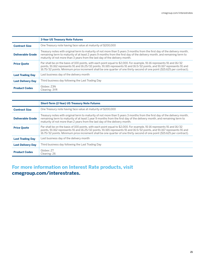|                          | <b>3-Year US Treasury Note Futures</b>                                                                                                                                                                                                                                                                                                                                       |
|--------------------------|------------------------------------------------------------------------------------------------------------------------------------------------------------------------------------------------------------------------------------------------------------------------------------------------------------------------------------------------------------------------------|
| <b>Contract Size</b>     | One Treasury note having face value at maturity of \$200,000                                                                                                                                                                                                                                                                                                                 |
| <b>Deliverable Grade</b> | Treasury notes with original term to maturity of not more than 5 years 3 months from the first day of the delivery month,<br>remaining term to maturity of at least 2 years 9 months from the first day of the delivery month, and remaining term to<br>maturity of not more than 3 years from the last day of the delivery month.                                           |
| <b>Price Quote</b>       | Par shall be on the basis of 100 points, with each point equal to \$2,000. For example, 91-16 represents 91 and 16/32<br>points, 91-162 represents 91 and 16.25/32 points, 91-165 represents 91 and 16.5/32 points, and 91-167 represents 91 and<br>16.75/32 points. Minimum price increment shall be one quarter of one thirty-second of one point (\$15.625 per contract). |
| <b>Last Trading Day</b>  | Last business day of the delivery month                                                                                                                                                                                                                                                                                                                                      |
| <b>Last Delivery Day</b> | Third business day following the Last Trading Day                                                                                                                                                                                                                                                                                                                            |
| <b>Product Codes</b>     | Globex: Z3N<br>Clearing: 3YR                                                                                                                                                                                                                                                                                                                                                 |

|                          | <b>Short-Term (2-Year) US Treasury Note Futures</b>                                                                                                                                                                                                                                                                                                                          |
|--------------------------|------------------------------------------------------------------------------------------------------------------------------------------------------------------------------------------------------------------------------------------------------------------------------------------------------------------------------------------------------------------------------|
| <b>Contract Size</b>     | One Treasury note having face value at maturity of \$200,000                                                                                                                                                                                                                                                                                                                 |
| <b>Deliverable Grade</b> | Treasury notes with original term to maturity of not more than 5 years 3 months from the first day of the delivery month,<br>remaining term to maturity of at least 1 year 9 months from the first day of the delivery month, and remaining term to<br>maturity of not more than 2 years from the last day of the delivery month.                                            |
| <b>Price Quote</b>       | Par shall be on the basis of 100 points, with each point equal to \$2,000. For example, 91-16 represents 91 and 16/32<br>points, 91-162 represents 91 and 16.25/32 points, 91-165 represents 91 and 16.5/32 points, and 91-167 represents 91 and<br>16.75/32 points. Minimum price increment shall be one quarter of one thirty-second of one point (\$15.625 per contract). |
| <b>Last Trading Day</b>  | Last business day of the delivery month                                                                                                                                                                                                                                                                                                                                      |
| <b>Last Delivery Day</b> | Third business day following the Last Trading Day                                                                                                                                                                                                                                                                                                                            |
| <b>Product Codes</b>     | Globex: ZT<br>Clearing: 26                                                                                                                                                                                                                                                                                                                                                   |

# **For more information on Interest Rate products, visit [cmegroup.com/interestrates](http://cmegroup.com/interestrates).**